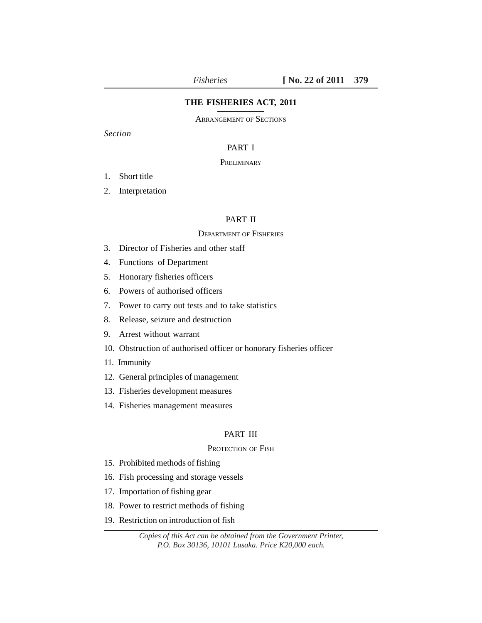# **THE FISHERIES ACT, 2011**

ARRANGEMENT OF SECTIONS

*Section*

# PART I

# **PRELIMINARY**

- 1. Short title
- 2. Interpretation

# PART II

# DEPARTMENT OF FISHERIES

- 3. Director of Fisheries and other staff
- 4. Functions of Department
- 5. Honorary fisheries officers
- 6. Powers of authorised officers
- 7. Power to carry out tests and to take statistics
- 8. Release, seizure and destruction
- 9. Arrest without warrant
- 10. Obstruction of authorised officer or honorary fisheries officer
- 11. Immunity
- 12. General principles of management
- 13. Fisheries development measures
- 14. Fisheries management measures

# PART III

#### PROTECTION OF FISH

- 15. Prohibited methods of fishing
- 16. Fish processing and storage vessels
- 17. Importation of fishing gear
- 18. Power to restrict methods of fishing
- 19. Restriction on introduction of fish

*Copies of this Act can be obtained from the Government Printer, P.O. Box 30136, 10101 Lusaka. Price K20,000 each.*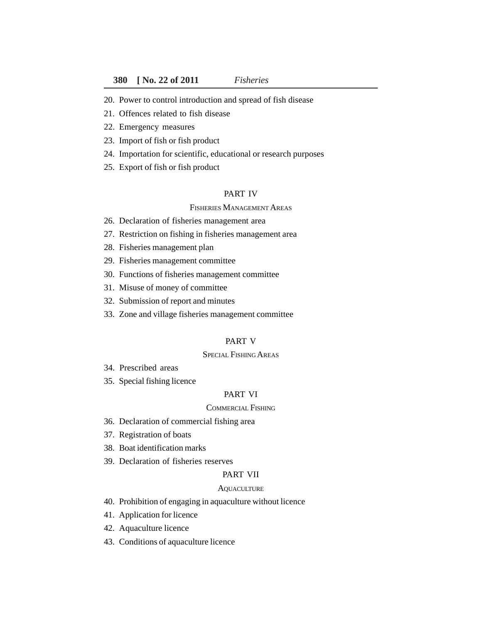- 20. Power to control introduction and spread of fish disease
- 21. Offences related to fish disease
- 22. Emergency measures
- 23. Import of fish or fish product
- 24. Importation for scientific, educational or research purposes
- 25. Export of fish or fish product

# PART IV

#### FISHERIES MANAGEMENT AREAS

- 26. Declaration of fisheries management area
- 27. Restriction on fishing in fisheries management area
- 28. Fisheries management plan
- 29. Fisheries management committee
- 30. Functions of fisheries management committee
- 31. Misuse of money of committee
- 32. Submission of report and minutes
- 33. Zone and village fisheries management committee

### PART V

# SPECIAL FISHING AREAS

- 34. Prescribed areas
- 35. Special fishing licence

# PART VI

# COMMERCIAL FISHING

- 36. Declaration of commercial fishing area
- 37. Registration of boats
- 38. Boat identification marks
- 39. Declaration of fisheries reserves

#### PART VII

#### **AQUACULTURE**

- 40. Prohibition of engaging in aquaculture without licence
- 41. Application for licence
- 42. Aquaculture licence
- 43. Conditions of aquaculture licence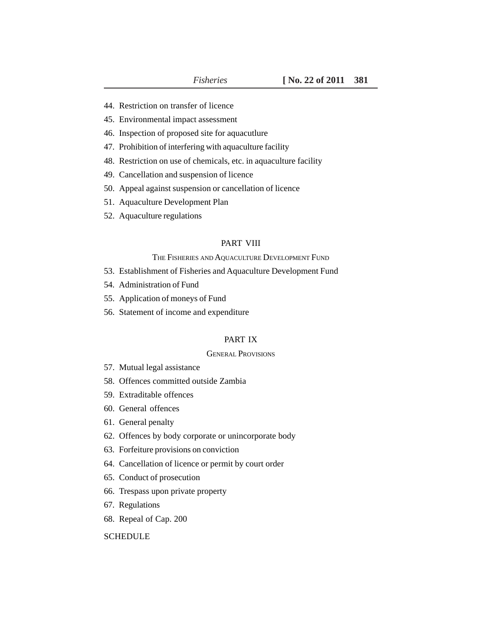- 44. Restriction on transfer of licence
- 45. Environmental impact assessment
- 46. Inspection of proposed site for aquacutlure
- 47. Prohibition of interfering with aquaculture facility
- 48. Restriction on use of chemicals, etc. in aquaculture facility
- 49. Cancellation and suspension of licence
- 50. Appeal against suspension or cancellation of licence
- 51. Aquaculture Development Plan
- 52. Aquaculture regulations

# PART VIII

#### THE FISHERIES AND AQUACULTURE DEVELOPMENT FUND

- 53. Establishment of Fisheries and Aquaculture Development Fund
- 54. Administration of Fund
- 55. Application of moneys of Fund
- 56. Statement of income and expenditure

# PART IX

#### GENERAL PROVISIONS

- 57. Mutual legal assistance
- 58. Offences committed outside Zambia
- 59. Extraditable offences
- 60. General offences
- 61. General penalty
- 62. Offences by body corporate or unincorporate body
- 63. Forfeiture provisions on conviction
- 64. Cancellation of licence or permit by court order
- 65. Conduct of prosecution
- 66. Trespass upon private property
- 67. Regulations
- 68. Repeal of Cap. 200

# **SCHEDULE**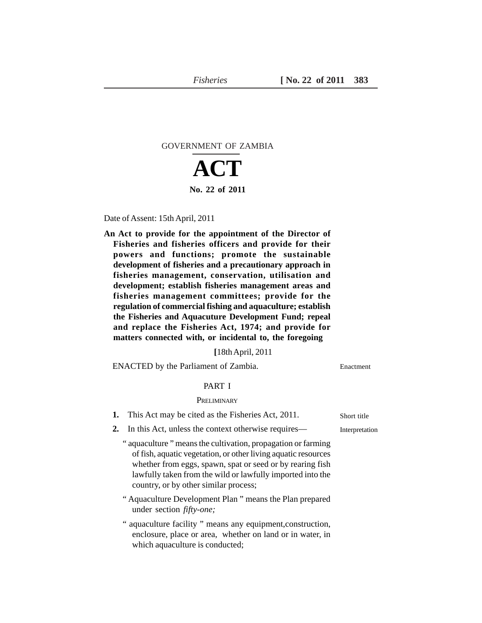# GOVERNMENT OF ZAMBIA

# **ACT No. 22 of 2011**

Date of Assent: 15th April, 2011

**An Act to provide for the appointment of the Director of Fisheries and fisheries officers and provide for their powers and functions; promote the sustainable development of fisheries and a precautionary approach in fisheries management, conservation, utilisation and development; establish fisheries management areas and fisheries management committees; provide for the regulation of commercial fishing and aquaculture; establish the Fisheries and Aquacuture Development Fund; repeal and replace the Fisheries Act, 1974; and provide for matters connected with, or incidental to, the foregoing**

**[**18th April, 2011

ENACTED by the Parliament of Zambia.

# PART I

#### **PRELIMINARY**

#### **1.** This Act may be cited as the Fisheries Act, 2011.

- **2.** In this Act, unless the context otherwise requires—
	- " aquaculture " means the cultivation, propagation or farming of fish, aquatic vegetation, or other living aquatic resources whether from eggs, spawn, spat or seed or by rearing fish lawfully taken from the wild or lawfully imported into the country, or by other similar process;
	- " Aquaculture Development Plan " means the Plan prepared under section *fifty-one;*
	- " aquaculture facility " means any equipment,construction, enclosure, place or area, whether on land or in water, in which aquaculture is conducted;

Short title

Enactment

Interpretation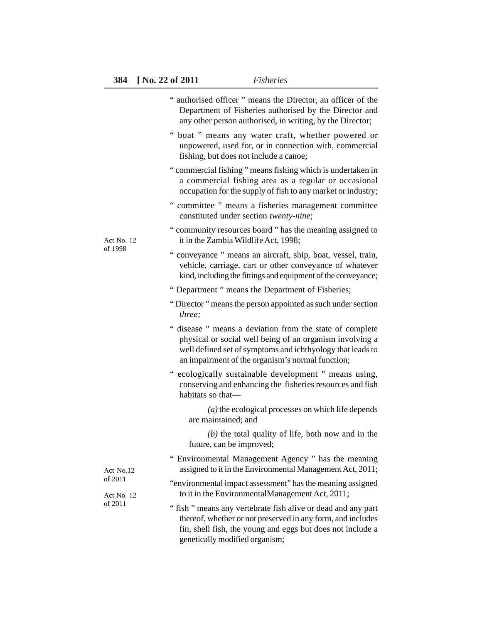|                       | " authorised officer " means the Director, an officer of the<br>Department of Fisheries authorised by the Director and<br>any other person authorised, in writing, by the Director;                                                    |
|-----------------------|----------------------------------------------------------------------------------------------------------------------------------------------------------------------------------------------------------------------------------------|
|                       | " boat " means any water craft, whether powered or<br>unpowered, used for, or in connection with, commercial<br>fishing, but does not include a canoe;                                                                                 |
|                       | "commercial fishing" means fishing which is undertaken in<br>a commercial fishing area as a regular or occasional<br>occupation for the supply of fish to any market or industry;                                                      |
|                       | " committee " means a fisheries management committee<br>constituted under section twenty-nine;                                                                                                                                         |
| Act No. 12            | " community resources board " has the meaning assigned to<br>it in the Zambia Wildlife Act, 1998;                                                                                                                                      |
| of 1998               | " conveyance " means an aircraft, ship, boat, vessel, train,<br>vehicle, carriage, cart or other conveyance of whatever<br>kind, including the fittings and equipment of the conveyance;                                               |
|                       | " Department " means the Department of Fisheries;                                                                                                                                                                                      |
|                       | "Director" means the person appointed as such under section<br>three;                                                                                                                                                                  |
|                       | " disease " means a deviation from the state of complete<br>physical or social well being of an organism involving a<br>well defined set of symptoms and ichthyology that leads to<br>an impairment of the organism's normal function; |
|                       | " ecologically sustainable development " means using,<br>conserving and enhancing the fisheries resources and fish<br>habitats so that-                                                                                                |
|                       | $(a)$ the ecological processes on which life depends<br>are maintained; and                                                                                                                                                            |
|                       | $(b)$ the total quality of life, both now and in the<br>future, can be improved;                                                                                                                                                       |
| Act No.12             | Environmental Management Agency " has the meaning<br>assigned to it in the Environmental Management Act, 2011;                                                                                                                         |
| of 2011<br>Act No. 12 | "environmental impact assessment" has the meaning assigned<br>to it in the EnvironmentalManagement Act, 2011;                                                                                                                          |
| of 2011               | "fish" means any vertebrate fish alive or dead and any part<br>thereof, whether or not preserved in any form, and includes<br>fin, shell fish, the young and eggs but does not include a<br>genetically modified organism;             |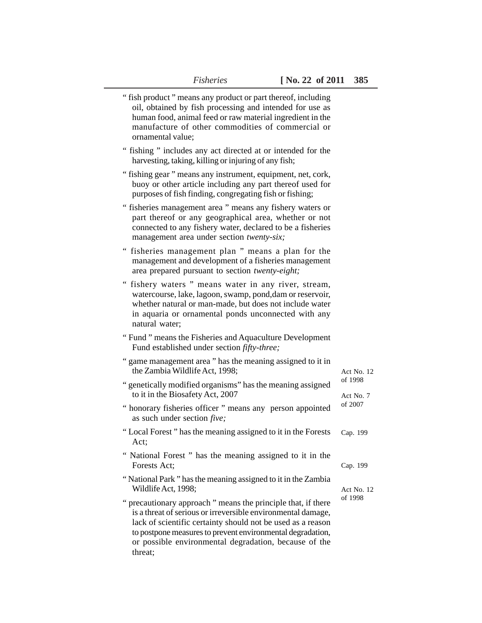| "fish product" means any product or part thereof, including<br>oil, obtained by fish processing and intended for use as<br>human food, animal feed or raw material ingredient in the<br>manufacture of other commodities of commercial or<br>ornamental value;                                                               |                      |
|------------------------------------------------------------------------------------------------------------------------------------------------------------------------------------------------------------------------------------------------------------------------------------------------------------------------------|----------------------|
| " fishing " includes any act directed at or intended for the<br>harvesting, taking, killing or injuring of any fish;                                                                                                                                                                                                         |                      |
| "fishing gear" means any instrument, equipment, net, cork,<br>buoy or other article including any part thereof used for<br>purposes of fish finding, congregating fish or fishing;                                                                                                                                           |                      |
| "fisheries management area " means any fishery waters or<br>part thereof or any geographical area, whether or not<br>connected to any fishery water, declared to be a fisheries<br>management area under section twenty-six;                                                                                                 |                      |
| " fisheries management plan " means a plan for the<br>management and development of a fisheries management<br>area prepared pursuant to section twenty-eight;                                                                                                                                                                |                      |
| " fishery waters " means water in any river, stream,<br>watercourse, lake, lagoon, swamp, pond, dam or reservoir,<br>whether natural or man-made, but does not include water<br>in aquaria or ornamental ponds unconnected with any<br>natural water;                                                                        |                      |
| "Fund" means the Fisheries and Aquaculture Development<br>Fund established under section fifty-three;                                                                                                                                                                                                                        |                      |
| " game management area " has the meaning assigned to it in<br>the Zambia Wildlife Act, 1998;                                                                                                                                                                                                                                 | Act No. 12           |
| " genetically modified organisms" has the meaning assigned<br>to it in the Biosafety Act, 2007                                                                                                                                                                                                                               | of 1998<br>Act No. 7 |
| " honorary fisheries officer " means any person appointed<br>as such under section <i>five</i> ;                                                                                                                                                                                                                             | of 2007              |
| "Local Forest" has the meaning assigned to it in the Forests<br>Act:                                                                                                                                                                                                                                                         | Cap. 199             |
| " National Forest " has the meaning assigned to it in the<br>Forests Act;                                                                                                                                                                                                                                                    | Cap. 199             |
| "National Park" has the meaning assigned to it in the Zambia<br>Wildlife Act, 1998;                                                                                                                                                                                                                                          | Act No. 12           |
| precautionary approach " means the principle that, if there<br>is a threat of serious or irreversible environmental damage,<br>lack of scientific certainty should not be used as a reason<br>to postpone measures to prevent environmental degradation,<br>or possible environmental degradation, because of the<br>threat; | of 1998              |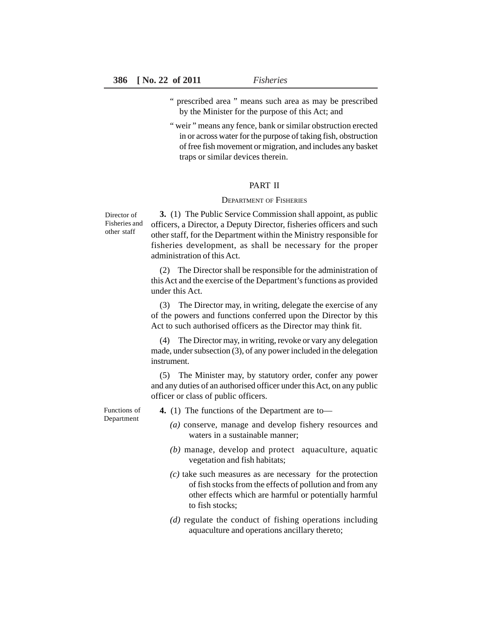- " prescribed area " means such area as may be prescribed by the Minister for the purpose of this Act; and
- " weir " means any fence, bank or similar obstruction erected in or across water for the purpose of taking fish, obstruction of free fish movement or migration, and includes any basket traps or similar devices therein.

# PART II

#### DEPARTMENT OF FISHERIES

Director of Fisheries and other staff

**3.** (1) The Public Service Commission shall appoint, as public officers, a Director, a Deputy Director, fisheries officers and such other staff, for the Department within the Ministry responsible for fisheries development, as shall be necessary for the proper administration of this Act.

(2) The Director shall be responsible for the administration of this Act and the exercise of the Department's functions as provided under this Act.

(3) The Director may, in writing, delegate the exercise of any of the powers and functions conferred upon the Director by this Act to such authorised officers as the Director may think fit.

(4) The Director may, in writing, revoke or vary any delegation made, under subsection (3), of any power included in the delegation instrument.

(5) The Minister may, by statutory order, confer any power and any duties of an authorised officer under this Act, on any public officer or class of public officers.

Functions of Department

**4.** (1) The functions of the Department are to—

- *(a)* conserve, manage and develop fishery resources and waters in a sustainable manner;
- *(b)* manage, develop and protect aquaculture, aquatic vegetation and fish habitats;
- *(c)* take such measures as are necessary for the protection of fish stocks from the effects of pollution and from any other effects which are harmful or potentially harmful to fish stocks;
- *(d)* regulate the conduct of fishing operations including aquaculture and operations ancillary thereto;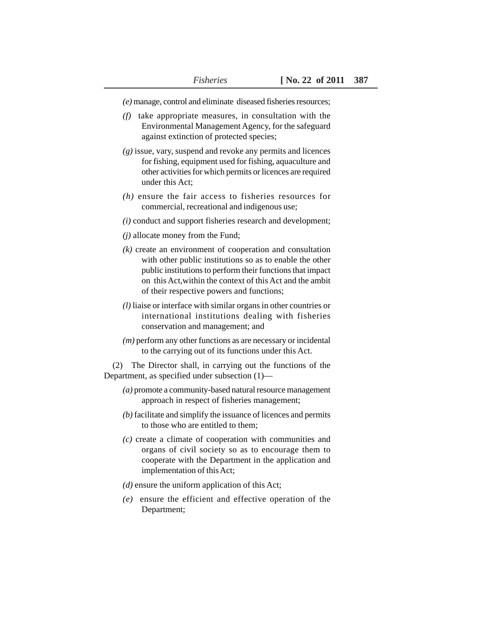*(e)* manage, control and eliminate diseased fisheries resources;

- *(f)* take appropriate measures, in consultation with the Environmental Management Agency, for the safeguard against extinction of protected species;
- *(g)* issue, vary, suspend and revoke any permits and licences for fishing, equipment used for fishing, aquaculture and other activities for which permits or licences are required under this Act;
- *(h)* ensure the fair access to fisheries resources for commercial, recreational and indigenous use;
- *(i)* conduct and support fisheries research and development;
- *(j)* allocate money from the Fund;
- *(k)* create an environment of cooperation and consultation with other public institutions so as to enable the other public institutions to perform their functions that impact on this Act,within the context of this Act and the ambit of their respective powers and functions;
- *(l)* liaise or interface with similar organs in other countries or international institutions dealing with fisheries conservation and management; and
- *(m)* perform any other functions as are necessary or incidental to the carrying out of its functions under this Act.

(2) The Director shall, in carrying out the functions of the Department, as specified under subsection (1)—

- *(a)* promote a community-based natural resource management approach in respect of fisheries management;
- *(b)* facilitate and simplify the issuance of licences and permits to those who are entitled to them;
- *(c)* create a climate of cooperation with communities and organs of civil society so as to encourage them to cooperate with the Department in the application and implementation of this Act;
- *(d)* ensure the uniform application of this Act;
- *(e)* ensure the efficient and effective operation of the Department;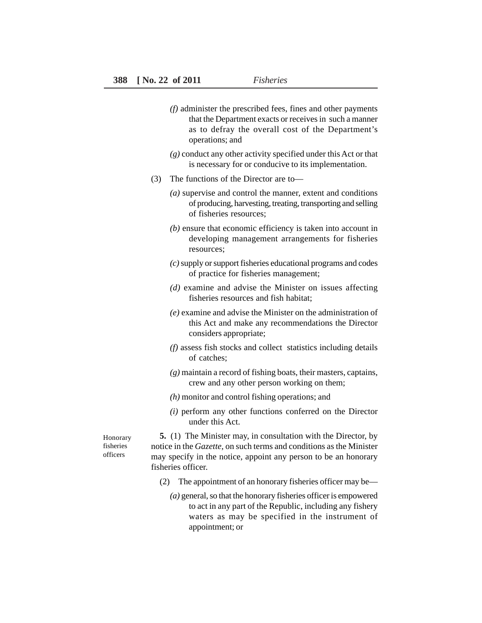- *(f)* administer the prescribed fees, fines and other payments that the Department exacts or receives in such a manner as to defray the overall cost of the Department's operations; and
- *(g)* conduct any other activity specified under this Act or that is necessary for or conducive to its implementation.
- (3) The functions of the Director are to—
	- *(a)* supervise and control the manner, extent and conditions of producing, harvesting, treating, transporting and selling of fisheries resources;
	- *(b)* ensure that economic efficiency is taken into account in developing management arrangements for fisheries resources;
	- *(c)* supply or support fisheries educational programs and codes of practice for fisheries management;
	- *(d)* examine and advise the Minister on issues affecting fisheries resources and fish habitat;
	- *(e)* examine and advise the Minister on the administration of this Act and make any recommendations the Director considers appropriate;
	- *(f)* assess fish stocks and collect statistics including details of catches;
	- *(g)* maintain a record of fishing boats, their masters, captains, crew and any other person working on them;
	- *(h)* monitor and control fishing operations; and
	- *(i)* perform any other functions conferred on the Director under this Act.

Honorary fisheries officers

**5.** (1) The Minister may, in consultation with the Director, by notice in the *Gazette,* on such terms and conditions as the Minister may specify in the notice, appoint any person to be an honorary fisheries officer.

- (2) The appointment of an honorary fisheries officer may be—
	- *(a)* general, so that the honorary fisheries officer is empowered to act in any part of the Republic, including any fishery waters as may be specified in the instrument of appointment; or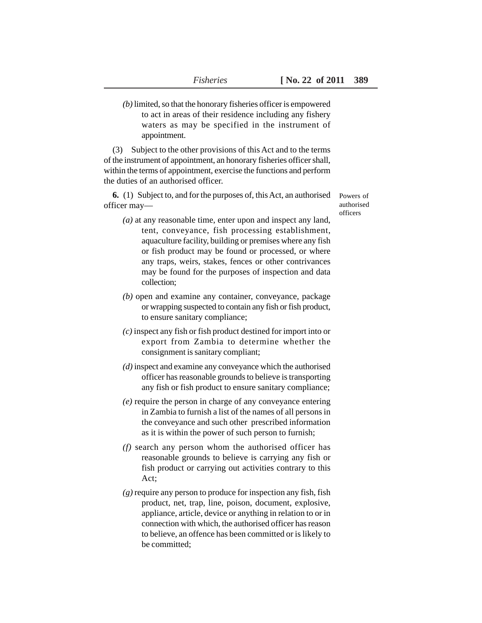*(b)* limited, so that the honorary fisheries officer is empowered to act in areas of their residence including any fishery waters as may be specified in the instrument of appointment.

(3) Subject to the other provisions of this Act and to the terms of the instrument of appointment, an honorary fisheries officer shall, within the terms of appointment, exercise the functions and perform the duties of an authorised officer.

**6.** (1) Subject to, and for the purposes of, this Act, an authorised officer may—

Powers of authorised officers

- *(a)* at any reasonable time, enter upon and inspect any land, tent, conveyance, fish processing establishment, aquaculture facility, building or premises where any fish or fish product may be found or processed, or where any traps, weirs, stakes, fences or other contrivances may be found for the purposes of inspection and data collection;
- *(b)* open and examine any container, conveyance, package or wrapping suspected to contain any fish or fish product, to ensure sanitary compliance;
- *(c)* inspect any fish or fish product destined for import into or export from Zambia to determine whether the consignment is sanitary compliant;
- *(d)* inspect and examine any conveyance which the authorised officer has reasonable grounds to believe is transporting any fish or fish product to ensure sanitary compliance;
- *(e)* require the person in charge of any conveyance entering in Zambia to furnish a list of the names of all persons in the conveyance and such other prescribed information as it is within the power of such person to furnish;
- *(f)* search any person whom the authorised officer has reasonable grounds to believe is carrying any fish or fish product or carrying out activities contrary to this Act;
- *(g)* require any person to produce for inspection any fish, fish product, net, trap, line, poison, document, explosive, appliance, article, device or anything in relation to or in connection with which, the authorised officer has reason to believe, an offence has been committed or is likely to be committed;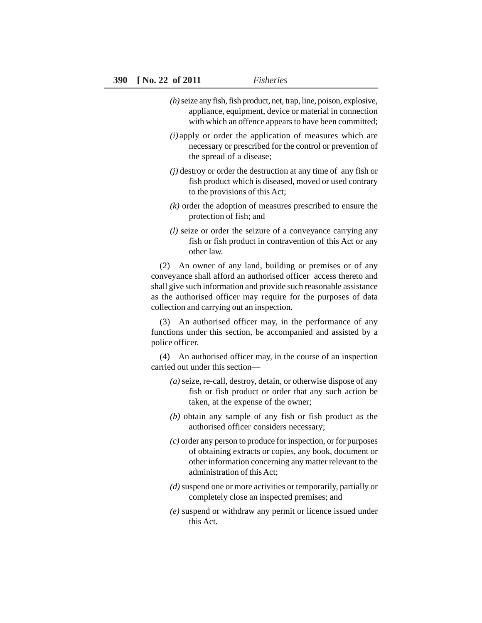- *(h)* seize any fish, fish product, net, trap, line, poison, explosive, appliance, equipment, device or material in connection with which an offence appears to have been committed;
- *(i)* apply or order the application of measures which are necessary or prescribed for the control or prevention of the spread of a disease;
- *(j)* destroy or order the destruction at any time of any fish or fish product which is diseased, moved or used contrary to the provisions of this Act;
- *(k)* order the adoption of measures prescribed to ensure the protection of fish; and
- *(l)* seize or order the seizure of a conveyance carrying any fish or fish product in contravention of this Act or any other law.

(2) An owner of any land, building or premises or of any conveyance shall afford an authorised officer access thereto and shall give such information and provide such reasonable assistance as the authorised officer may require for the purposes of data collection and carrying out an inspection.

(3) An authorised officer may, in the performance of any functions under this section, be accompanied and assisted by a police officer.

(4) An authorised officer may, in the course of an inspection carried out under this section—

- *(a)* seize, re-call, destroy, detain, or otherwise dispose of any fish or fish product or order that any such action be taken, at the expense of the owner;
- *(b)* obtain any sample of any fish or fish product as the authorised officer considers necessary;
- *(c)* order any person to produce for inspection, or for purposes of obtaining extracts or copies, any book, document or other information concerning any matter relevant to the administration of this Act;
- *(d)* suspend one or more activities or temporarily, partially or completely close an inspected premises; and
- *(e)* suspend or withdraw any permit or licence issued under this Act.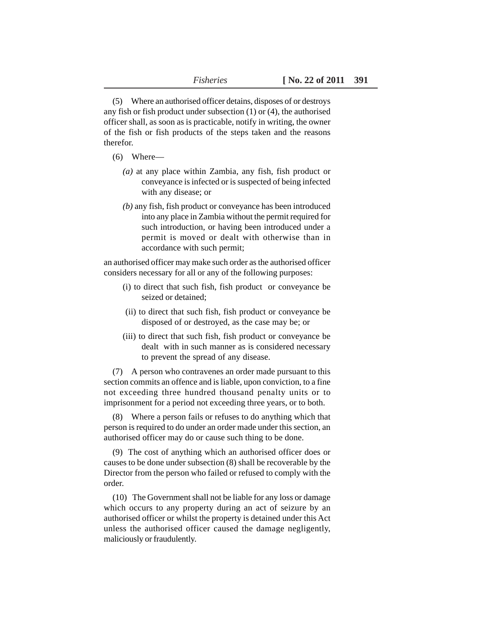(5) Where an authorised officer detains, disposes of or destroys any fish or fish product under subsection (1) or (4), the authorised officer shall, as soon as is practicable, notify in writing, the owner of the fish or fish products of the steps taken and the reasons therefor.

- (6) Where—
	- *(a)* at any place within Zambia, any fish, fish product or conveyance is infected or is suspected of being infected with any disease; or
	- *(b)* any fish, fish product or conveyance has been introduced into any place in Zambia without the permit required for such introduction, or having been introduced under a permit is moved or dealt with otherwise than in accordance with such permit;

an authorised officer may make such order as the authorised officer considers necessary for all or any of the following purposes:

- (i) to direct that such fish, fish product or conveyance be seized or detained;
- (ii) to direct that such fish, fish product or conveyance be disposed of or destroyed, as the case may be; or
- (iii) to direct that such fish, fish product or conveyance be dealt with in such manner as is considered necessary to prevent the spread of any disease.

(7) A person who contravenes an order made pursuant to this section commits an offence and is liable, upon conviction, to a fine not exceeding three hundred thousand penalty units or to imprisonment for a period not exceeding three years, or to both.

(8) Where a person fails or refuses to do anything which that person is required to do under an order made under this section, an authorised officer may do or cause such thing to be done.

(9) The cost of anything which an authorised officer does or causes to be done under subsection (8) shall be recoverable by the Director from the person who failed or refused to comply with the order.

(10) The Government shall not be liable for any loss or damage which occurs to any property during an act of seizure by an authorised officer or whilst the property is detained under this Act unless the authorised officer caused the damage negligently, maliciously or fraudulently.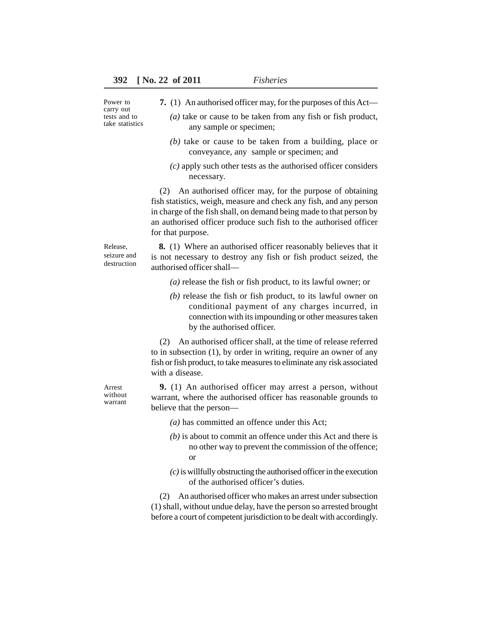- Power to carry out tests and to take statistics
- **7.** (1) An authorised officer may, for the purposes of this Act—
	- *(a)* take or cause to be taken from any fish or fish product, any sample or specimen;
	- *(b)* take or cause to be taken from a building, place or conveyance, any sample or specimen; and
	- *(c)* apply such other tests as the authorised officer considers necessary.

(2) An authorised officer may, for the purpose of obtaining fish statistics, weigh, measure and check any fish, and any person in charge of the fish shall, on demand being made to that person by an authorised officer produce such fish to the authorised officer for that purpose.

Release, seizure and destruction

**8.** (1) Where an authorised officer reasonably believes that it is not necessary to destroy any fish or fish product seized, the authorised officer shall—

- *(a)* release the fish or fish product, to its lawful owner; or
- *(b)* release the fish or fish product, to its lawful owner on conditional payment of any charges incurred, in connection with its impounding or other measures taken by the authorised officer.

(2) An authorised officer shall, at the time of release referred to in subsection (1), by order in writing, require an owner of any fish or fish product, to take measures to eliminate any risk associated with a disease.

**9.** (1) An authorised officer may arrest a person, without warrant, where the authorised officer has reasonable grounds to believe that the person—

- *(a)* has committed an offence under this Act;
- *(b)* is about to commit an offence under this Act and there is no other way to prevent the commission of the offence; or
- *(c)* is willfully obstructing the authorised officer in the execution of the authorised officer's duties.

(2) An authorised officer who makes an arrest under subsection (1) shall, without undue delay, have the person so arrested brought before a court of competent jurisdiction to be dealt with accordingly.

Arrest without warrant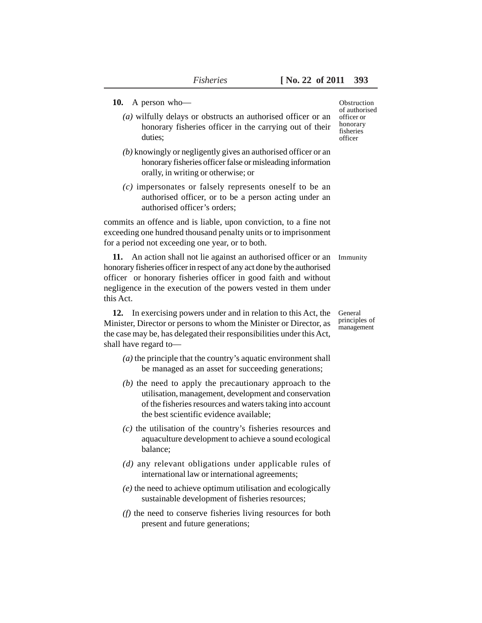#### **10.** A person who—

- *(a)* wilfully delays or obstructs an authorised officer or an honorary fisheries officer in the carrying out of their duties;
- *(b)* knowingly or negligently gives an authorised officer or an honorary fisheries officer false or misleading information orally, in writing or otherwise; or
- *(c)* impersonates or falsely represents oneself to be an authorised officer, or to be a person acting under an authorised officer's orders;

commits an offence and is liable, upon conviction, to a fine not exceeding one hundred thousand penalty units or to imprisonment for a period not exceeding one year, or to both.

**11.** An action shall not lie against an authorised officer or an honorary fisheries officer in respect of any act done by the authorised officer or honorary fisheries officer in good faith and without negligence in the execution of the powers vested in them under this Act. Immunity

**12.** In exercising powers under and in relation to this Act, the Minister, Director or persons to whom the Minister or Director, as the case may be, has delegated their responsibilities under this Act, shall have regard to—

- *(a)* the principle that the country's aquatic environment shall be managed as an asset for succeeding generations;
- *(b)* the need to apply the precautionary approach to the utilisation, management, development and conservation of the fisheries resources and waters taking into account the best scientific evidence available;
- *(c)* the utilisation of the country's fisheries resources and aquaculture development to achieve a sound ecological balance;
- *(d)* any relevant obligations under applicable rules of international law or international agreements;
- *(e)* the need to achieve optimum utilisation and ecologically sustainable development of fisheries resources;
- *(f)* the need to conserve fisheries living resources for both present and future generations;

Obstruction of authorised officer or honorary fisheries officer

General principles of management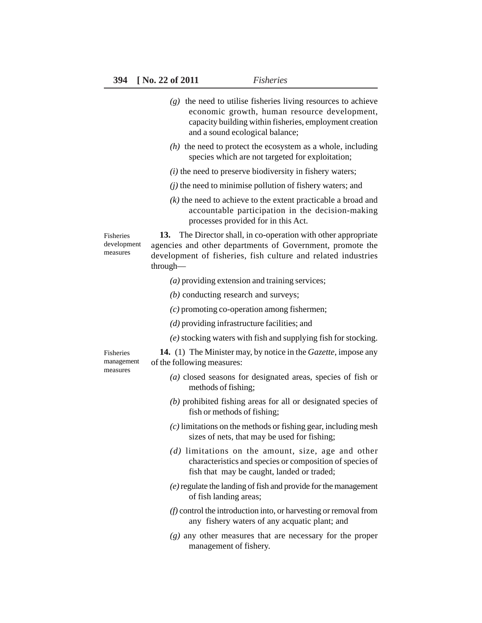|                                      | $(g)$ the need to utilise fisheries living resources to achieve<br>economic growth, human resource development,<br>capacity building within fisheries, employment creation<br>and a sound ecological balance; |
|--------------------------------------|---------------------------------------------------------------------------------------------------------------------------------------------------------------------------------------------------------------|
|                                      | $(h)$ the need to protect the ecosystem as a whole, including<br>species which are not targeted for exploitation;                                                                                             |
|                                      | $(i)$ the need to preserve biodiversity in fishery waters;                                                                                                                                                    |
|                                      | $(j)$ the need to minimise pollution of fishery waters; and                                                                                                                                                   |
|                                      | $(k)$ the need to achieve to the extent practicable a broad and<br>accountable participation in the decision-making<br>processes provided for in this Act.                                                    |
| Fisheries<br>development<br>measures | The Director shall, in co-operation with other appropriate<br>13.<br>agencies and other departments of Government, promote the<br>development of fisheries, fish culture and related industries<br>through—   |
|                                      | $(a)$ providing extension and training services;                                                                                                                                                              |
|                                      | $(b)$ conducting research and surveys;                                                                                                                                                                        |
|                                      | $(c)$ promoting co-operation among fishermen;                                                                                                                                                                 |
|                                      | $(d)$ providing infrastructure facilities; and                                                                                                                                                                |
|                                      | (e) stocking waters with fish and supplying fish for stocking.                                                                                                                                                |
| Fisheries<br>management<br>measures  | <b>14.</b> (1) The Minister may, by notice in the <i>Gazette</i> , impose any<br>of the following measures:                                                                                                   |
|                                      | (a) closed seasons for designated areas, species of fish or<br>methods of fishing;                                                                                                                            |
|                                      | $(b)$ prohibited fishing areas for all or designated species of<br>fish or methods of fishing;                                                                                                                |
|                                      | $(c)$ limitations on the methods or fishing gear, including mesh<br>sizes of nets, that may be used for fishing;                                                                                              |
|                                      | $(d)$ limitations on the amount, size, age and other<br>characteristics and species or composition of species of<br>fish that may be caught, landed or traded;                                                |
|                                      | (e) regulate the landing of fish and provide for the management<br>of fish landing areas;                                                                                                                     |
|                                      | (f) control the introduction into, or harvesting or removal from<br>any fishery waters of any acquatic plant; and                                                                                             |
|                                      | $(g)$ any other measures that are necessary for the proper<br>management of fishery.                                                                                                                          |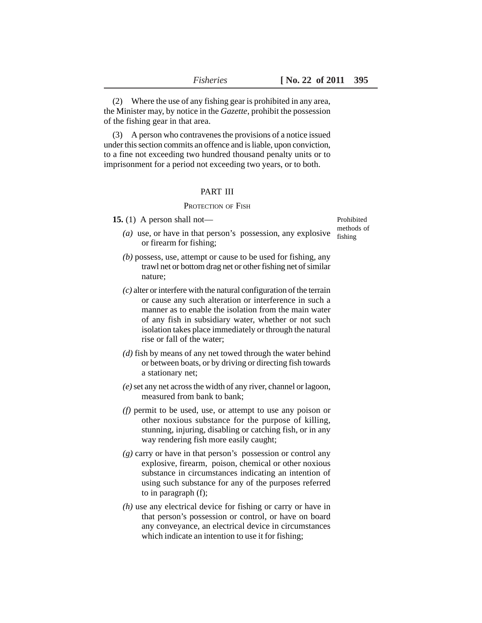(2) Where the use of any fishing gear is prohibited in any area, the Minister may, by notice in the *Gazette*, prohibit the possession of the fishing gear in that area.

(3) A person who contravenes the provisions of a notice issued under this section commits an offence and is liable, upon conviction, to a fine not exceeding two hundred thousand penalty units or to imprisonment for a period not exceeding two years, or to both.

#### PART III

### PROTECTION OF FISH

**15.** (1) A person shall not—

(*a*) use, or have in that person's possession, any explosive  $\frac{\text{mean}}{\text{fishing}}$ or firearm for fishing;

- *(b)* possess, use, attempt or cause to be used for fishing, any trawl net or bottom drag net or other fishing net of similar nature;
- *(c)* alter or interfere with the natural configuration of the terrain or cause any such alteration or interference in such a manner as to enable the isolation from the main water of any fish in subsidiary water, whether or not such isolation takes place immediately or through the natural rise or fall of the water;
- *(d)* fish by means of any net towed through the water behind or between boats, or by driving or directing fish towards a stationary net;
- *(e)* set any net across the width of any river, channel or lagoon, measured from bank to bank;
- *(f)* permit to be used, use, or attempt to use any poison or other noxious substance for the purpose of killing, stunning, injuring, disabling or catching fish, or in any way rendering fish more easily caught;
- *(g)* carry or have in that person's possession or control any explosive, firearm, poison, chemical or other noxious substance in circumstances indicating an intention of using such substance for any of the purposes referred to in paragraph (f);
- *(h)* use any electrical device for fishing or carry or have in that person's possession or control, or have on board any conveyance, an electrical device in circumstances which indicate an intention to use it for fishing;

Prohibited methods of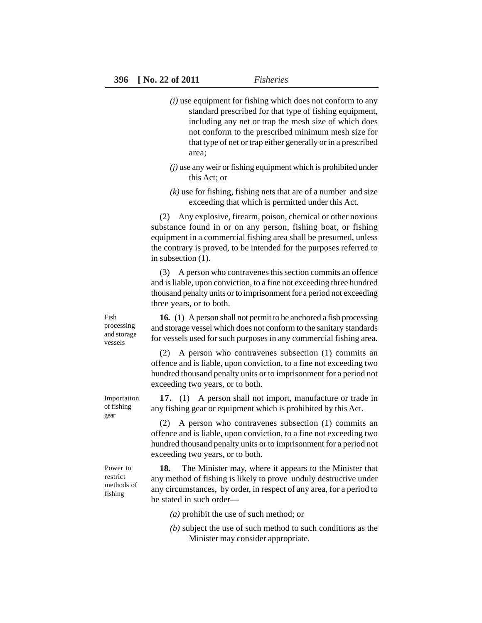- *(i)* use equipment for fishing which does not conform to any standard prescribed for that type of fishing equipment, including any net or trap the mesh size of which does not conform to the prescribed minimum mesh size for that type of net or trap either generally or in a prescribed area;
- *(j)* use any weir or fishing equipment which is prohibited under this Act; or
- *(k)* use for fishing, fishing nets that are of a number and size exceeding that which is permitted under this Act.

(2) Any explosive, firearm, poison, chemical or other noxious substance found in or on any person, fishing boat, or fishing equipment in a commercial fishing area shall be presumed, unless the contrary is proved, to be intended for the purposes referred to in subsection (1).

(3) A person who contravenes this section commits an offence and is liable, upon conviction, to a fine not exceeding three hundred thousand penalty units or to imprisonment for a period not exceeding three years, or to both.

**16.** (1) A person shall not permit to be anchored a fish processing and storage vessel which does not conform to the sanitary standards for vessels used for such purposes in any commercial fishing area.

(2) A person who contravenes subsection (1) commits an offence and is liable, upon conviction, to a fine not exceeding two hundred thousand penalty units or to imprisonment for a period not exceeding two years, or to both.

**17.** (1) A person shall not import, manufacture or trade in any fishing gear or equipment which is prohibited by this Act.

(2) A person who contravenes subsection (1) commits an offence and is liable, upon conviction, to a fine not exceeding two hundred thousand penalty units or to imprisonment for a period not exceeding two years, or to both.

**18.** The Minister may, where it appears to the Minister that any method of fishing is likely to prove unduly destructive under any circumstances, by order, in respect of any area, for a period to be stated in such order—

- *(a)* prohibit the use of such method; or
- *(b)* subject the use of such method to such conditions as the Minister may consider appropriate.

Fish processing and storage vessels

Importation of fishing gear

Power to restrict methods of fishing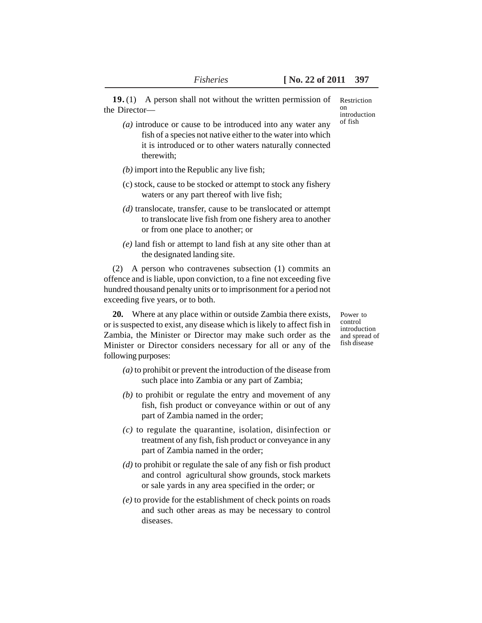**19.** (1) A person shall not without the written permission of the Director—

- *(a)* introduce or cause to be introduced into any water any fish of a species not native either to the water into which it is introduced or to other waters naturally connected therewith;
- *(b)* import into the Republic any live fish;
- (c) stock, cause to be stocked or attempt to stock any fishery waters or any part thereof with live fish;
- *(d)* translocate, transfer, cause to be translocated or attempt to translocate live fish from one fishery area to another or from one place to another; or
- *(e)* land fish or attempt to land fish at any site other than at the designated landing site.

(2) A person who contravenes subsection (1) commits an offence and is liable, upon conviction, to a fine not exceeding five hundred thousand penalty units or to imprisonment for a period not exceeding five years, or to both.

**20.** Where at any place within or outside Zambia there exists, or is suspected to exist, any disease which is likely to affect fish in Zambia, the Minister or Director may make such order as the Minister or Director considers necessary for all or any of the following purposes:

- *(a)* to prohibit or prevent the introduction of the disease from such place into Zambia or any part of Zambia;
- *(b)* to prohibit or regulate the entry and movement of any fish, fish product or conveyance within or out of any part of Zambia named in the order;
- *(c)* to regulate the quarantine, isolation, disinfection or treatment of any fish, fish product or conveyance in any part of Zambia named in the order;
- *(d)* to prohibit or regulate the sale of any fish or fish product and control agricultural show grounds, stock markets or sale yards in any area specified in the order; or
- *(e)* to provide for the establishment of check points on roads and such other areas as may be necessary to control diseases.

Restriction on introduction of fish

Power to control introduction and spread of fish disease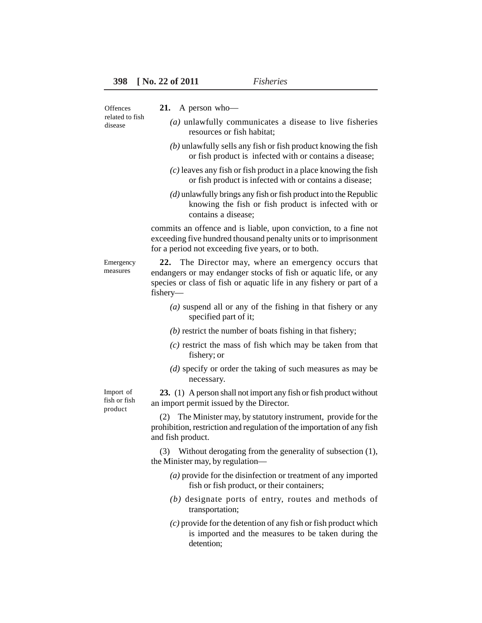| Offences<br>related to fish<br>disease | A person who-<br>21.                                                                                                                                                                                            |
|----------------------------------------|-----------------------------------------------------------------------------------------------------------------------------------------------------------------------------------------------------------------|
|                                        | $(a)$ unlawfully communicates a disease to live fisheries<br>resources or fish habitat;                                                                                                                         |
|                                        | $(b)$ unlawfully sells any fish or fish product knowing the fish<br>or fish product is infected with or contains a disease;                                                                                     |
|                                        | $(c)$ leaves any fish or fish product in a place knowing the fish<br>or fish product is infected with or contains a disease;                                                                                    |
|                                        | $(d)$ unlawfully brings any fish or fish product into the Republic<br>knowing the fish or fish product is infected with or<br>contains a disease;                                                               |
|                                        | commits an offence and is liable, upon conviction, to a fine not<br>exceeding five hundred thousand penalty units or to imprisonment<br>for a period not exceeding five years, or to both.                      |
| Emergency<br>measures                  | The Director may, where an emergency occurs that<br>22.<br>endangers or may endanger stocks of fish or aquatic life, or any<br>species or class of fish or aquatic life in any fishery or part of a<br>fishery- |
|                                        | $(a)$ suspend all or any of the fishing in that fishery or any<br>specified part of it;                                                                                                                         |
|                                        | $(b)$ restrict the number of boats fishing in that fishery;                                                                                                                                                     |
|                                        | $(c)$ restrict the mass of fish which may be taken from that<br>fishery; or                                                                                                                                     |
|                                        | $(d)$ specify or order the taking of such measures as may be<br>necessary.                                                                                                                                      |
| Import of<br>fish or fish<br>product   | 23. (1) A person shall not import any fish or fish product without<br>an import permit issued by the Director.                                                                                                  |
|                                        | The Minister may, by statutory instrument, provide for the<br>(2)<br>prohibition, restriction and regulation of the importation of any fish<br>and fish product.                                                |
|                                        | (3) Without derogating from the generality of subsection (1),<br>the Minister may, by regulation—                                                                                                               |
|                                        | $(a)$ provide for the disinfection or treatment of any imported<br>fish or fish product, or their containers;                                                                                                   |
|                                        | $(b)$ designate ports of entry, routes and methods of<br>transportation;                                                                                                                                        |
|                                        | $(c)$ provide for the detention of any fish or fish product which<br>is imported and the measures to be taken during the<br>detention;                                                                          |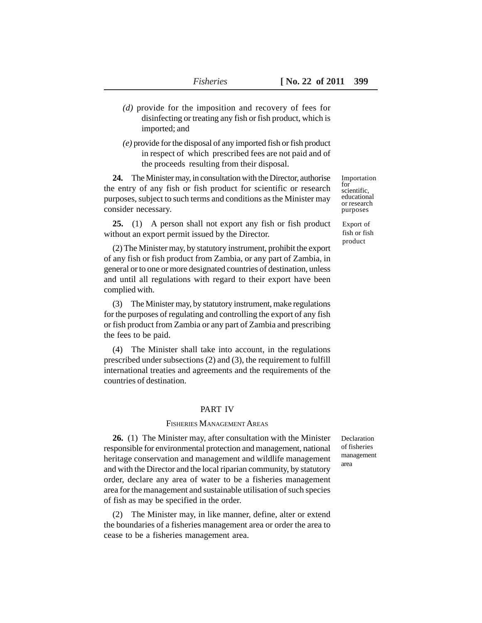- *(d)* provide for the imposition and recovery of fees for disinfecting or treating any fish or fish product, which is imported; and
- *(e)* provide for the disposal of any imported fish or fish product in respect of which prescribed fees are not paid and of the proceeds resulting from their disposal.

**24.** The Minister may, in consultation with the Director, authorise the entry of any fish or fish product for scientific or research purposes, subject to such terms and conditions as the Minister may consider necessary.

**25.** (1) A person shall not export any fish or fish product without an export permit issued by the Director.

(2) The Minister may, by statutory instrument, prohibit the export of any fish or fish product from Zambia, or any part of Zambia, in general or to one or more designated countries of destination, unless and until all regulations with regard to their export have been complied with.

(3) The Minister may, by statutory instrument, make regulations for the purposes of regulating and controlling the export of any fish or fish product from Zambia or any part of Zambia and prescribing the fees to be paid.

(4) The Minister shall take into account, in the regulations prescribed under subsections (2) and (3), the requirement to fulfill international treaties and agreements and the requirements of the countries of destination.

#### PART IV

#### FISHERIES MANAGEMENT AREAS

**26.** (1) The Minister may, after consultation with the Minister responsible for environmental protection and management, national heritage conservation and management and wildlife management and with the Director and the local riparian community, by statutory order, declare any area of water to be a fisheries management area for the management and sustainable utilisation of such species of fish as may be specified in the order.

(2) The Minister may, in like manner, define, alter or extend the boundaries of a fisheries management area or order the area to cease to be a fisheries management area.

Declaration of fisheries management area

Importation for scientific, educational or research purposes

Export of fish or fish product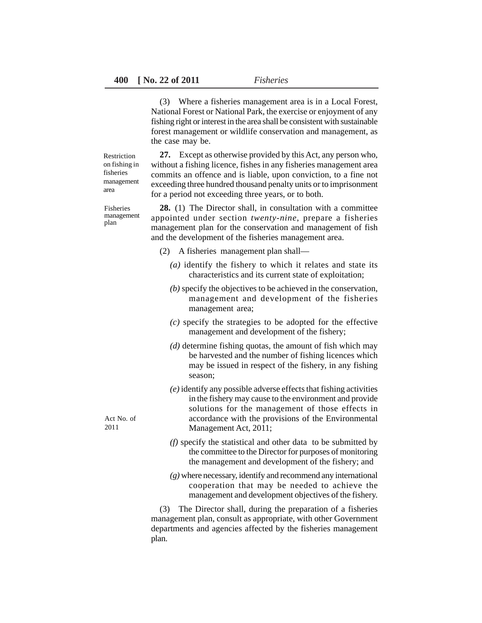(3) Where a fisheries management area is in a Local Forest, National Forest or National Park, the exercise or enjoyment of any fishing right or interest in the area shall be consistent with sustainable forest management or wildlife conservation and management, as the case may be.

Restriction on fishing in fisheries management area

Fisheries management plan

**27.** Except as otherwise provided by this Act, any person who, without a fishing licence, fishes in any fisheries management area commits an offence and is liable, upon conviction, to a fine not exceeding three hundred thousand penalty units or to imprisonment for a period not exceeding three years, or to both.

**28.** (1) The Director shall, in consultation with a committee appointed under section *twenty-nine*, prepare a fisheries management plan for the conservation and management of fish and the development of the fisheries management area.

- (2) A fisheries management plan shall—
	- *(a)* identify the fishery to which it relates and state its characteristics and its current state of exploitation;
	- *(b)* specify the objectives to be achieved in the conservation, management and development of the fisheries management area;
	- *(c)* specify the strategies to be adopted for the effective management and development of the fishery;
	- *(d)* determine fishing quotas, the amount of fish which may be harvested and the number of fishing licences which may be issued in respect of the fishery, in any fishing season;
	- *(e)* identify any possible adverse effects that fishing activities in the fishery may cause to the environment and provide solutions for the management of those effects in accordance with the provisions of the Environmental Management Act, 2011;
	- *(f)* specify the statistical and other data to be submitted by the committee to the Director for purposes of monitoring the management and development of the fishery; and
	- *(g)* where necessary, identify and recommend any international cooperation that may be needed to achieve the management and development objectives of the fishery.

(3) The Director shall, during the preparation of a fisheries management plan, consult as appropriate, with other Government departments and agencies affected by the fisheries management plan.

Act No. of 2011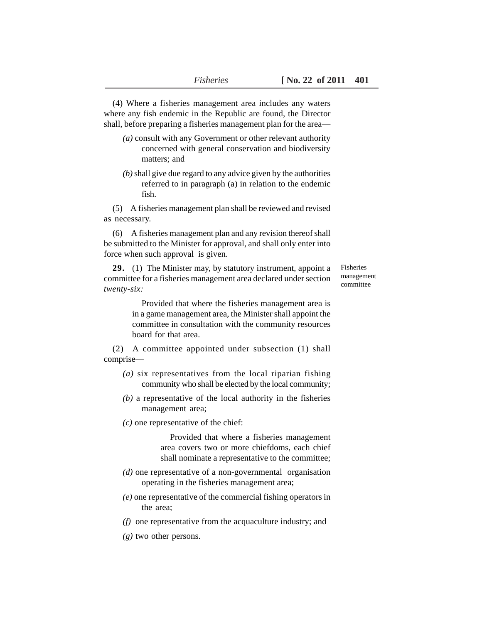(4) Where a fisheries management area includes any waters where any fish endemic in the Republic are found, the Director shall, before preparing a fisheries management plan for the area—

- *(a)* consult with any Government or other relevant authority concerned with general conservation and biodiversity matters; and
- *(b)* shall give due regard to any advice given by the authorities referred to in paragraph (a) in relation to the endemic fish.

(5) A fisheries management plan shall be reviewed and revised as necessary.

(6) A fisheries management plan and any revision thereof shall be submitted to the Minister for approval, and shall only enter into force when such approval is given.

**29.** (1) The Minister may, by statutory instrument, appoint a committee for a fisheries management area declared under section *twenty-six:*

Fisheries management committee

Provided that where the fisheries management area is in a game management area, the Minister shall appoint the committee in consultation with the community resources board for that area.

(2) A committee appointed under subsection (1) shall comprise—

- *(a)* six representatives from the local riparian fishing community who shall be elected by the local community;
- *(b)* a representative of the local authority in the fisheries management area;
- *(c)* one representative of the chief:

Provided that where a fisheries management area covers two or more chiefdoms, each chief shall nominate a representative to the committee;

- *(d)* one representative of a non-governmental organisation operating in the fisheries management area;
- *(e)* one representative of the commercial fishing operators in the area;
- *(f)* one representative from the acquaculture industry; and
- *(g)* two other persons.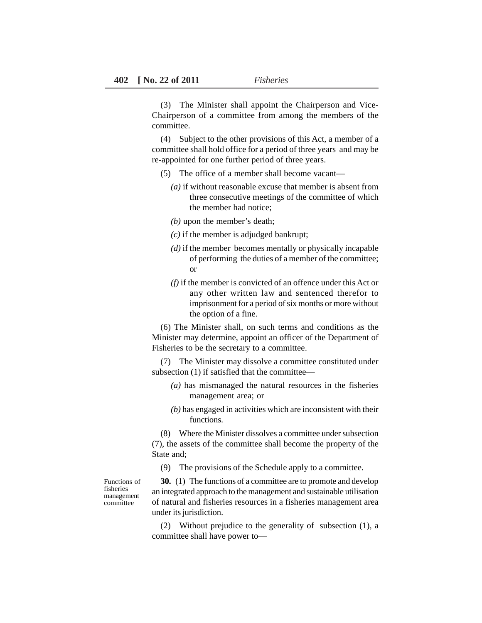(3) The Minister shall appoint the Chairperson and Vice-Chairperson of a committee from among the members of the committee.

(4) Subject to the other provisions of this Act, a member of a committee shall hold office for a period of three years and may be re-appointed for one further period of three years.

- (5) The office of a member shall become vacant—
	- *(a)* if without reasonable excuse that member is absent from three consecutive meetings of the committee of which the member had notice;
	- *(b)* upon the member's death;
	- *(c)* if the member is adjudged bankrupt;
	- *(d)* if the member becomes mentally or physically incapable of performing the duties of a member of the committee; or
	- *(f)* if the member is convicted of an offence under this Act or any other written law and sentenced therefor to imprisonment for a period of six months or more without the option of a fine.

(6) The Minister shall, on such terms and conditions as the Minister may determine, appoint an officer of the Department of Fisheries to be the secretary to a committee.

(7) The Minister may dissolve a committee constituted under subsection (1) if satisfied that the committee—

- *(a)* has mismanaged the natural resources in the fisheries management area; or
- *(b)* has engaged in activities which are inconsistent with their functions.

(8) Where the Minister dissolves a committee under subsection (7), the assets of the committee shall become the property of the State and;

(9) The provisions of the Schedule apply to a committee.

Functions of fisheries management committee

**30.** (1) The functions of a committee are to promote and develop an integrated approach to the management and sustainable utilisation of natural and fisheries resources in a fisheries management area under its jurisdiction.

(2) Without prejudice to the generality of subsection (1), a committee shall have power to—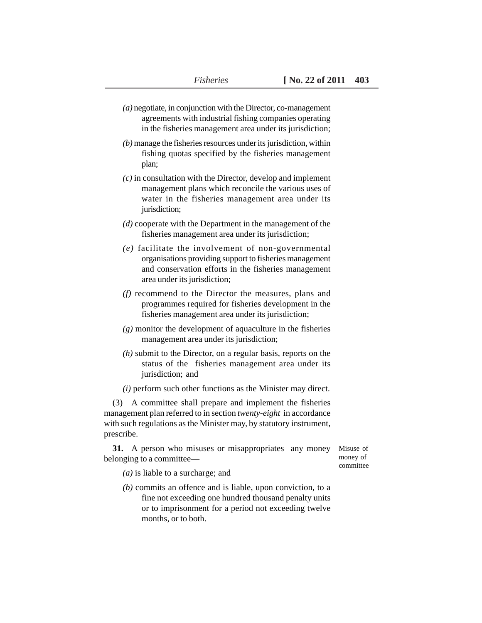- *(a)* negotiate, in conjunction with the Director, co-management agreements with industrial fishing companies operating in the fisheries management area under its jurisdiction;
- *(b)* manage the fisheries resources under its jurisdiction, within fishing quotas specified by the fisheries management plan;
- *(c)* in consultation with the Director, develop and implement management plans which reconcile the various uses of water in the fisheries management area under its jurisdiction;
- *(d)* cooperate with the Department in the management of the fisheries management area under its jurisdiction;
- *(e)* facilitate the involvement of non-governmental organisations providing support to fisheries management and conservation efforts in the fisheries management area under its jurisdiction;
- *(f)* recommend to the Director the measures, plans and programmes required for fisheries development in the fisheries management area under its jurisdiction;
- *(g)* monitor the development of aquaculture in the fisheries management area under its jurisdiction;
- *(h)* submit to the Director, on a regular basis, reports on the status of the fisheries management area under its jurisdiction; and
- *(i)* perform such other functions as the Minister may direct.

(3) A committee shall prepare and implement the fisheries management plan referred to in section *twenty-eight* in accordance with such regulations as the Minister may, by statutory instrument, prescribe.

**31.** A person who misuses or misappropriates any money belonging to a committee—

Misuse of money of committee

- *(a)* is liable to a surcharge; and
- *(b)* commits an offence and is liable, upon conviction, to a fine not exceeding one hundred thousand penalty units or to imprisonment for a period not exceeding twelve months, or to both.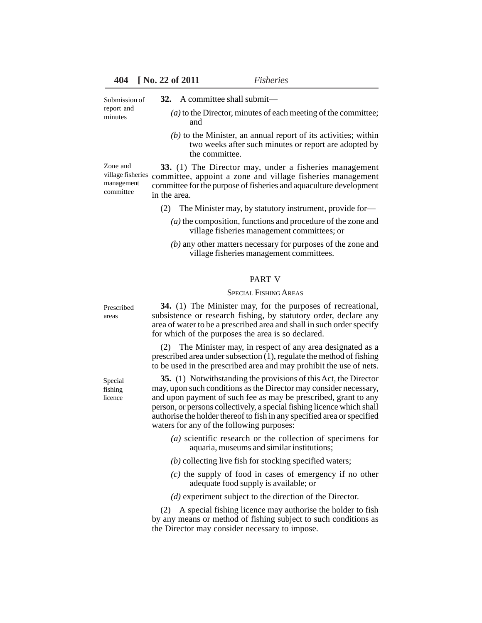**32.** A committee shall submit— Submission of

report and minutes

- - *(a)* to the Director, minutes of each meeting of the committee; and
	- *(b)* to the Minister, an annual report of its activities; within two weeks after such minutes or report are adopted by the committee.

**33.** (1) The Director may, under a fisheries management village fisheries committee, appoint a zone and village fisheries management committee for the purpose of fisheries and aquaculture development in the area. Zone and management committee

- (2) The Minister may, by statutory instrument, provide for—
	- *(a)* the composition, functions and procedure of the zone and village fisheries management committees; or
	- *(b)* any other matters necessary for purposes of the zone and village fisheries management committees.

#### PART V

#### SPECIAL FISHING AREAS

Prescribed areas

Special fishing licence

**34.** (1) The Minister may, for the purposes of recreational, subsistence or research fishing, by statutory order, declare any area of water to be a prescribed area and shall in such order specify for which of the purposes the area is so declared.

(2) The Minister may, in respect of any area designated as a prescribed area under subsection (1), regulate the method of fishing to be used in the prescribed area and may prohibit the use of nets.

**35.** (1) Notwithstanding the provisions of this Act, the Director may, upon such conditions as the Director may consider necessary, and upon payment of such fee as may be prescribed, grant to any person, or persons collectively, a special fishing licence which shall authorise the holder thereof to fish in any specified area or specified waters for any of the following purposes:

- *(a)* scientific research or the collection of specimens for aquaria, museums and similar institutions;
- *(b)* collecting live fish for stocking specified waters;
- *(c)* the supply of food in cases of emergency if no other adequate food supply is available; or
- *(d)* experiment subject to the direction of the Director.

(2) A special fishing licence may authorise the holder to fish by any means or method of fishing subject to such conditions as the Director may consider necessary to impose.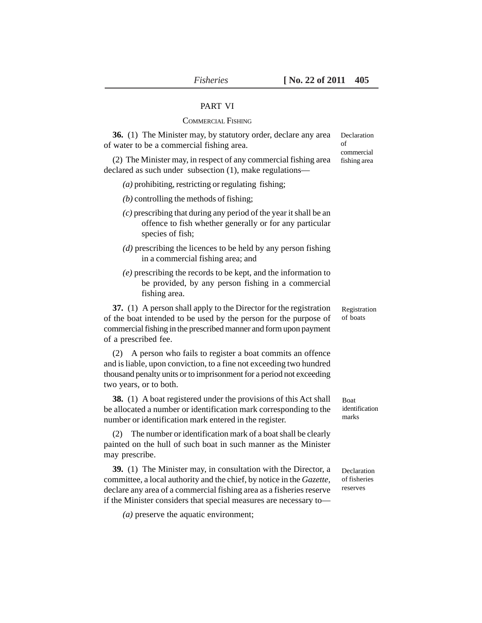#### PART VI

#### COMMERCIAL FISHING

**36.** (1) The Minister may, by statutory order, declare any area of water to be a commercial fishing area. (2) The Minister may, in respect of any commercial fishing area declared as such under subsection (1), make regulations— *(a)* prohibiting, restricting or regulating fishing; *(b)* controlling the methods of fishing; *(c)* prescribing that during any period of the year it shall be an offence to fish whether generally or for any particular species of fish; *(d)* prescribing the licences to be held by any person fishing in a commercial fishing area; and *(e)* prescribing the records to be kept, and the information to be provided, by any person fishing in a commercial fishing area. **37.** (1) A person shall apply to the Director for the registration of the boat intended to be used by the person for the purpose of commercial fishing in the prescribed manner and form upon payment of a prescribed fee. (2) A person who fails to register a boat commits an offence and is liable, upon conviction, to a fine not exceeding two hundred thousand penalty units or to imprisonment for a period not exceeding two years, or to both. **38.** (1) A boat registered under the provisions of this Act shall be allocated a number or identification mark corresponding to the number or identification mark entered in the register. (2) The number or identification mark of a boat shall be clearly painted on the hull of such boat in such manner as the Minister may prescribe. **39.** (1) The Minister may, in consultation with the Director, a committee, a local authority and the chief, by notice in the *Gazette,* declare any area of a commercial fishing area as a fisheries reserve if the Minister considers that special measures are necessary to— *(a)* preserve the aquatic environment; Declaration of commercial fishing area Registration of boats Boat identification marks Declaration of fisheries reserves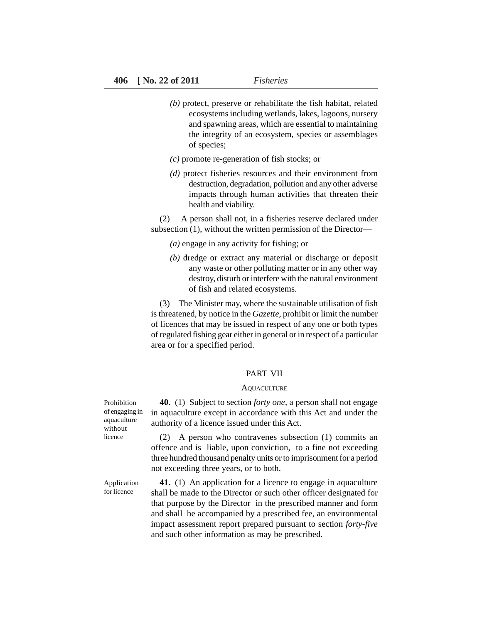- *(b)* protect, preserve or rehabilitate the fish habitat, related ecosystems including wetlands, lakes, lagoons, nursery and spawning areas, which are essential to maintaining the integrity of an ecosystem, species or assemblages of species;
- *(c)* promote re-generation of fish stocks; or
- *(d)* protect fisheries resources and their environment from destruction, degradation, pollution and any other adverse impacts through human activities that threaten their health and viability.

(2) A person shall not, in a fisheries reserve declared under subsection (1), without the written permission of the Director—

- *(a)* engage in any activity for fishing; or
- *(b)* dredge or extract any material or discharge or deposit any waste or other polluting matter or in any other way destroy, disturb or interfere with the natural environment of fish and related ecosystems.

(3) The Minister may, where the sustainable utilisation of fish is threatened, by notice in the *Gazette,* prohibit or limit the number of licences that may be issued in respect of any one or both types of regulated fishing gear either in general or in respect of a particular area or for a specified period.

#### PART VII

#### **AQUACULTURE**

**40.** (1) Subject to section *forty one*, a person shall not engage in aquaculture except in accordance with this Act and under the authority of a licence issued under this Act.

(2) A person who contravenes subsection (1) commits an offence and is liable, upon conviction, to a fine not exceeding three hundred thousand penalty units or to imprisonment for a period not exceeding three years, or to both.

**41.** (1) An application for a licence to engage in aquaculture shall be made to the Director or such other officer designated for that purpose by the Director in the prescribed manner and form and shall be accompanied by a prescribed fee, an environmental impact assessment report prepared pursuant to section *forty-five* and such other information as may be prescribed.

Prohibition of engaging in aquaculture without licence

Application for licence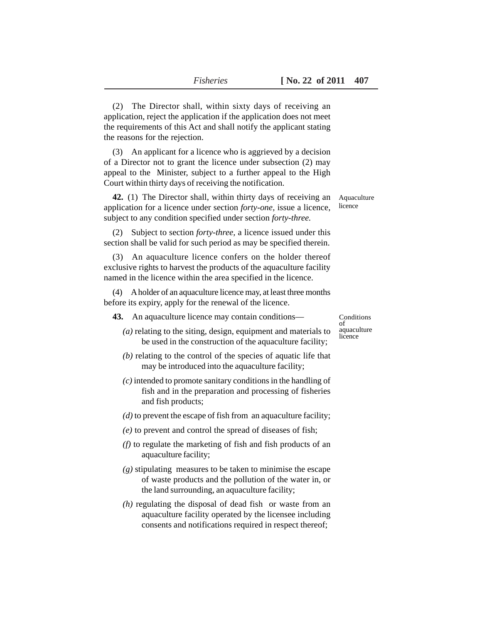(2) The Director shall, within sixty days of receiving an application, reject the application if the application does not meet the requirements of this Act and shall notify the applicant stating the reasons for the rejection.

(3) An applicant for a licence who is aggrieved by a decision of a Director not to grant the licence under subsection (2) may appeal to the Minister, subject to a further appeal to the High Court within thirty days of receiving the notification.

**42.** (1) The Director shall, within thirty days of receiving an application for a licence under section *forty-one,* issue a licence, subject to any condition specified under section *forty-three.*

Aquaculture licence

(2) Subject to section *forty-three,* a licence issued under this section shall be valid for such period as may be specified therein.

(3) An aquaculture licence confers on the holder thereof exclusive rights to harvest the products of the aquaculture facility named in the licence within the area specified in the licence.

(4) A holder of an aquaculture licence may, at least three months before its expiry, apply for the renewal of the licence.

**43.** An aquaculture licence may contain conditions—

Conditions of aquaculture licence

- *(a)* relating to the siting, design, equipment and materials to be used in the construction of the aquaculture facility;
- *(b)* relating to the control of the species of aquatic life that may be introduced into the aquaculture facility;
- *(c)* intended to promote sanitary conditions in the handling of fish and in the preparation and processing of fisheries and fish products;
- *(d)* to prevent the escape of fish from an aquaculture facility;
- *(e)* to prevent and control the spread of diseases of fish;
- *(f)* to regulate the marketing of fish and fish products of an aquaculture facility;
- *(g)* stipulating measures to be taken to minimise the escape of waste products and the pollution of the water in, or the land surrounding, an aquaculture facility;
- *(h)* regulating the disposal of dead fish or waste from an aquaculture facility operated by the licensee including consents and notifications required in respect thereof;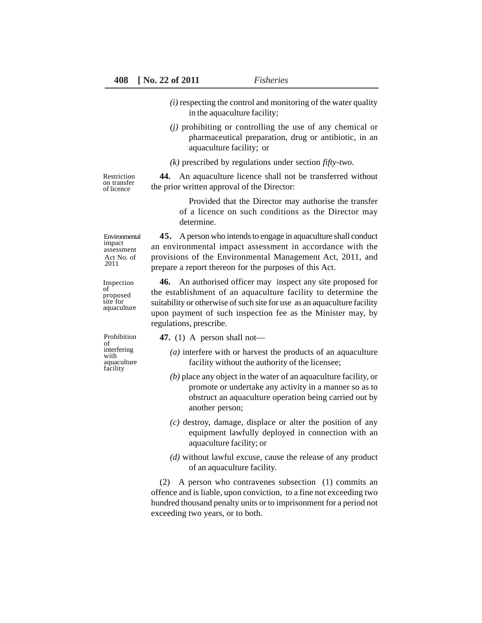- *(i)* respecting the control and monitoring of the water quality in the aquaculture facility;
- *(j)* prohibiting or controlling the use of any chemical or pharmaceutical preparation, drug or antibiotic, in an aquaculture facility; or
- *(k)* prescribed by regulations under section *fifty-two.*

Restriction on transfer of licence

**44.** An aquaculture licence shall not be transferred without the prior written approval of the Director:

Provided that the Director may authorise the transfer of a licence on such conditions as the Director may determine.

Environmental impact assessment Act No. of 2011

Inspection of proposed site for aquaculture

Prohibition of interfering with aquaculture facility

**45.** A person who intends to engage in aquaculture shall conduct an environmental impact assessment in accordance with the provisions of the Environmental Management Act, 2011, and prepare a report thereon for the purposes of this Act.

**46.** An authorised officer may inspect any site proposed for the establishment of an aquaculture facility to determine the suitability or otherwise of such site for use as an aquaculture facility upon payment of such inspection fee as the Minister may, by regulations, prescribe.

**47.** (1) A person shall not—

- *(a)* interfere with or harvest the products of an aquaculture facility without the authority of the licensee;
- *(b)* place any object in the water of an aquaculture facility, or promote or undertake any activity in a manner so as to obstruct an aquaculture operation being carried out by another person;
- *(c)* destroy, damage, displace or alter the position of any equipment lawfully deployed in connection with an aquaculture facility; or
- *(d)* without lawful excuse, cause the release of any product of an aquaculture facility.

(2) A person who contravenes subsection (1) commits an offence and is liable, upon conviction, to a fine not exceeding two hundred thousand penalty units or to imprisonment for a period not exceeding two years, or to both.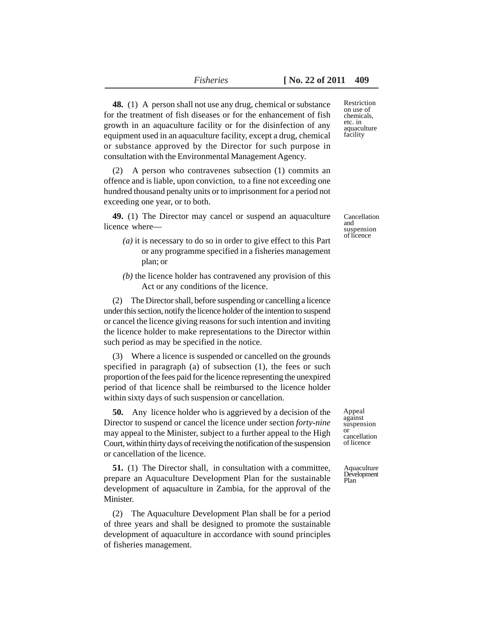**48.** (1) A person shall not use any drug, chemical or substance for the treatment of fish diseases or for the enhancement of fish growth in an aquaculture facility or for the disinfection of any equipment used in an aquaculture facility, except a drug, chemical or substance approved by the Director for such purpose in consultation with the Environmental Management Agency.

(2) A person who contravenes subsection (1) commits an offence and is liable, upon conviction, to a fine not exceeding one hundred thousand penalty units or to imprisonment for a period not exceeding one year, or to both.

**49.** (1) The Director may cancel or suspend an aquaculture licence where—

- *(a)* it is necessary to do so in order to give effect to this Part or any programme specified in a fisheries management plan; or
- *(b)* the licence holder has contravened any provision of this Act or any conditions of the licence.

(2) The Director shall, before suspending or cancelling a licence under this section, notify the licence holder of the intention to suspend or cancel the licence giving reasons for such intention and inviting the licence holder to make representations to the Director within such period as may be specified in the notice.

(3) Where a licence is suspended or cancelled on the grounds specified in paragraph (a) of subsection (1), the fees or such proportion of the fees paid for the licence representing the unexpired period of that licence shall be reimbursed to the licence holder within sixty days of such suspension or cancellation.

**50.** Any licence holder who is aggrieved by a decision of the Director to suspend or cancel the licence under section *forty-nine* may appeal to the Minister, subject to a further appeal to the High Court, within thirty days of receiving the notification of the suspension or cancellation of the licence.

**51.** (1) The Director shall, in consultation with a committee, prepare an Aquaculture Development Plan for the sustainable development of aquaculture in Zambia, for the approval of the Minister.

(2) The Aquaculture Development Plan shall be for a period of three years and shall be designed to promote the sustainable development of aquaculture in accordance with sound principles of fisheries management.

Restriction on use of chemicals, etc. in aquaculture facility

Cancellation and suspension of licence

Appeal against suspension or cancellation of licence

Aquaculture Development Plan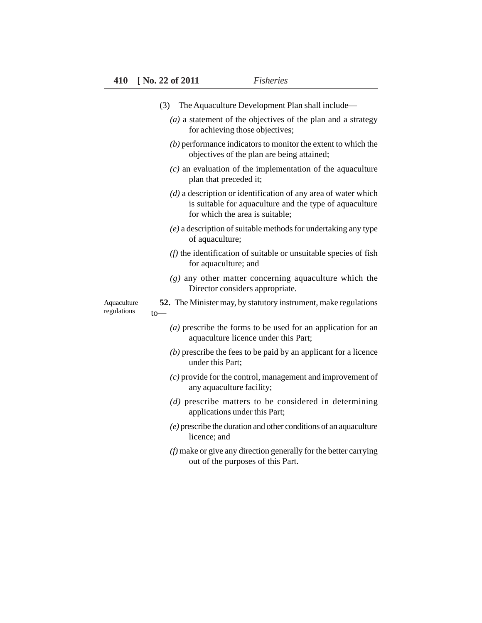|                            | The Aquaculture Development Plan shall include—<br>(3)                                                                                                         |
|----------------------------|----------------------------------------------------------------------------------------------------------------------------------------------------------------|
|                            | $(a)$ a statement of the objectives of the plan and a strategy<br>for achieving those objectives;                                                              |
|                            | $(b)$ performance indicators to monitor the extent to which the<br>objectives of the plan are being attained;                                                  |
|                            | $(c)$ an evaluation of the implementation of the aquaculture<br>plan that preceded it;                                                                         |
|                            | $(d)$ a description or identification of any area of water which<br>is suitable for aquaculture and the type of aquaculture<br>for which the area is suitable; |
|                            | $(e)$ a description of suitable methods for undertaking any type<br>of aquaculture;                                                                            |
|                            | $(f)$ the identification of suitable or unsuitable species of fish<br>for aquaculture; and                                                                     |
|                            | $(g)$ any other matter concerning aquaculture which the<br>Director considers appropriate.                                                                     |
| Aquaculture<br>regulations | <b>52.</b> The Minister may, by statutory instrument, make regulations<br>$to-$                                                                                |
|                            | $(a)$ prescribe the forms to be used for an application for an<br>aquaculture licence under this Part;                                                         |
|                            | $(b)$ prescribe the fees to be paid by an applicant for a licence<br>under this Part;                                                                          |
|                            | $(c)$ provide for the control, management and improvement of<br>any aquaculture facility;                                                                      |
|                            | $(d)$ prescribe matters to be considered in determining<br>applications under this Part;                                                                       |
|                            | $(e)$ prescribe the duration and other conditions of an aquaculture<br>licence; and                                                                            |
|                            | $(f)$ make or give any direction generally for the better carrying<br>out of the purposes of this Part.                                                        |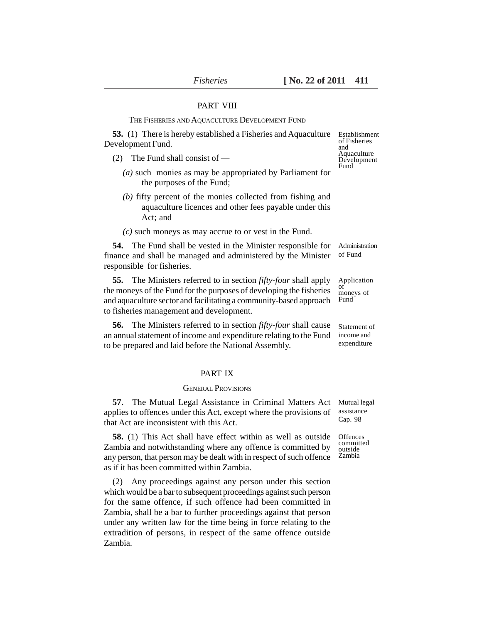#### PART VIII

#### THE FISHERIES AND AQUACULTURE DEVELOPMENT FUND

**53.** (1) There is hereby established a Fisheries and Aquaculture Development Fund.

- (2) The Fund shall consist of
	- *(a)* such monies as may be appropriated by Parliament for the purposes of the Fund;
	- *(b)* fifty percent of the monies collected from fishing and aquaculture licences and other fees payable under this Act; and
	- *(c)* such moneys as may accrue to or vest in the Fund.

**54.** The Fund shall be vested in the Minister responsible for finance and shall be managed and administered by the Minister responsible for fisheries. of Fund

**55.** The Ministers referred to in section *fifty-four* shall apply the moneys of the Fund for the purposes of developing the fisheries and aquaculture sector and facilitating a community-based approach to fisheries management and development. Application of moneys of Fund

**56.** The Ministers referred to in section *fifty-four* shall cause an annual statement of income and expenditure relating to the Fund to be prepared and laid before the National Assembly.

#### PART IX

#### GENERAL PROVISIONS

**57.** The Mutual Legal Assistance in Criminal Matters Act applies to offences under this Act, except where the provisions of that Act are inconsistent with this Act. Mutual legal assistance Cap. 98

**58.** (1) This Act shall have effect within as well as outside Zambia and notwithstanding where any offence is committed by any person, that person may be dealt with in respect of such offence as if it has been committed within Zambia. **Offences** committed outside Zambia

(2) Any proceedings against any person under this section which would be a bar to subsequent proceedings against such person for the same offence, if such offence had been committed in Zambia, shall be a bar to further proceedings against that person under any written law for the time being in force relating to the extradition of persons, in respect of the same offence outside Zambia.

Establishment of Fisheries and **Aquaculture** Development Fund

Administration

Statement of income and expenditure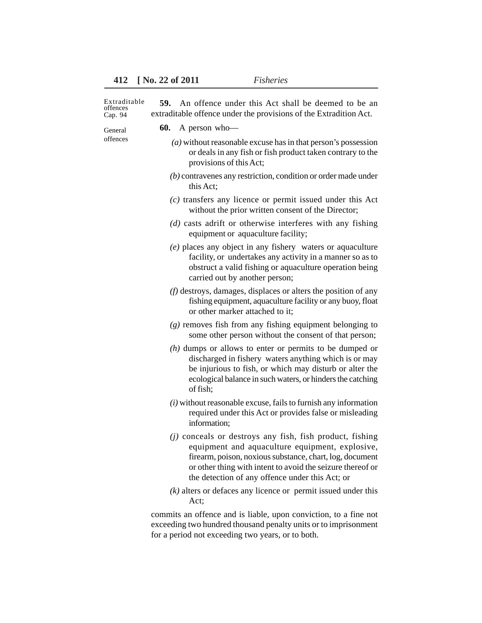| Extraditable<br>offences<br>Cap. 94 | An offence under this Act shall be deemed to be an<br>59.<br>extraditable offence under the provisions of the Extradition Act.                                                                                                                                                             |
|-------------------------------------|--------------------------------------------------------------------------------------------------------------------------------------------------------------------------------------------------------------------------------------------------------------------------------------------|
| General<br>offences                 | 60.<br>A person who-                                                                                                                                                                                                                                                                       |
|                                     | $(a)$ without reasonable excuse has in that person's possession<br>or deals in any fish or fish product taken contrary to the<br>provisions of this Act;                                                                                                                                   |
|                                     | $(b)$ contravenes any restriction, condition or order made under<br>this Act;                                                                                                                                                                                                              |
|                                     | $(c)$ transfers any licence or permit issued under this Act<br>without the prior written consent of the Director;                                                                                                                                                                          |
|                                     | $(d)$ casts adrift or otherwise interferes with any fishing<br>equipment or aquaculture facility;                                                                                                                                                                                          |
|                                     | (e) places any object in any fishery waters or aquaculture<br>facility, or undertakes any activity in a manner so as to<br>obstruct a valid fishing or aquaculture operation being<br>carried out by another person;                                                                       |
|                                     | $(f)$ destroys, damages, displaces or alters the position of any<br>fishing equipment, aquaculture facility or any buoy, float<br>or other marker attached to it;                                                                                                                          |
|                                     | $(g)$ removes fish from any fishing equipment belonging to<br>some other person without the consent of that person;                                                                                                                                                                        |
|                                     | $(h)$ dumps or allows to enter or permits to be dumped or<br>discharged in fishery waters anything which is or may<br>be injurious to fish, or which may disturb or alter the<br>ecological balance in such waters, or hinders the catching<br>of fish;                                    |
|                                     | $(i)$ without reasonable excuse, fails to furnish any information<br>required under this Act or provides false or misleading<br>information;                                                                                                                                               |
|                                     | $(j)$ conceals or destroys any fish, fish product, fishing<br>equipment and aquaculture equipment, explosive,<br>firearm, poison, noxious substance, chart, log, document<br>or other thing with intent to avoid the seizure thereof or<br>the detection of any offence under this Act; or |
|                                     | $(k)$ alters or defaces any licence or permit issued under this<br>Act;                                                                                                                                                                                                                    |
|                                     | commits an offence and is liable, upon conviction, to a fine not                                                                                                                                                                                                                           |

exceeding two hundred thousand penalty units or to imprisonment for a period not exceeding two years, or to both.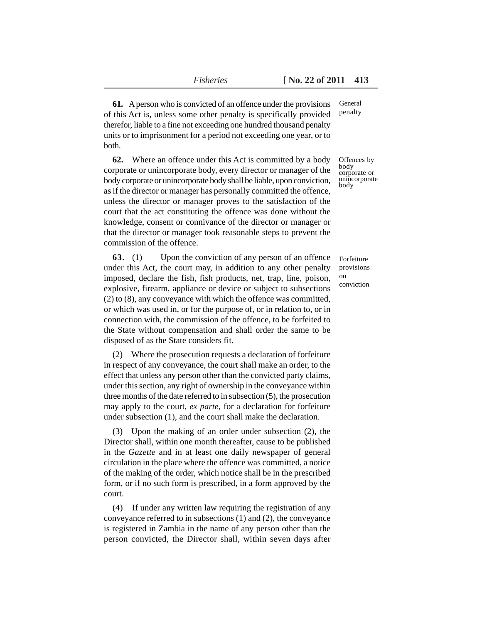**61.** A person who is convicted of an offence under the provisions of this Act is, unless some other penalty is specifically provided therefor, liable to a fine not exceeding one hundred thousand penalty units or to imprisonment for a period not exceeding one year, or to both.

**62.** Where an offence under this Act is committed by a body corporate or unincorporate body, every director or manager of the body corporate or unincorporate body shall be liable, upon conviction, as if the director or manager has personally committed the offence, unless the director or manager proves to the satisfaction of the court that the act constituting the offence was done without the knowledge, consent or connivance of the director or manager or that the director or manager took reasonable steps to prevent the commission of the offence.

**63.** (1) Upon the conviction of any person of an offence under this Act, the court may, in addition to any other penalty imposed, declare the fish, fish products, net, trap, line, poison, explosive, firearm, appliance or device or subject to subsections (2) to (8), any conveyance with which the offence was committed, or which was used in, or for the purpose of, or in relation to, or in connection with, the commission of the offence, to be forfeited to the State without compensation and shall order the same to be disposed of as the State considers fit.

(2) Where the prosecution requests a declaration of forfeiture in respect of any conveyance, the court shall make an order, to the effect that unless any person other than the convicted party claims, under this section, any right of ownership in the conveyance within three months of the date referred to in subsection (5), the prosecution may apply to the court, *ex parte,* for a declaration for forfeiture under subsection (1), and the court shall make the declaration.

(3) Upon the making of an order under subsection (2), the Director shall, within one month thereafter, cause to be published in the *Gazette* and in at least one daily newspaper of general circulation in the place where the offence was committed, a notice of the making of the order, which notice shall be in the prescribed form, or if no such form is prescribed, in a form approved by the court.

(4) If under any written law requiring the registration of any conveyance referred to in subsections (1) and (2), the conveyance is registered in Zambia in the name of any person other than the person convicted, the Director shall, within seven days after General penalty

Offences by body corporate or unincorporate body

Forfeiture provisions on conviction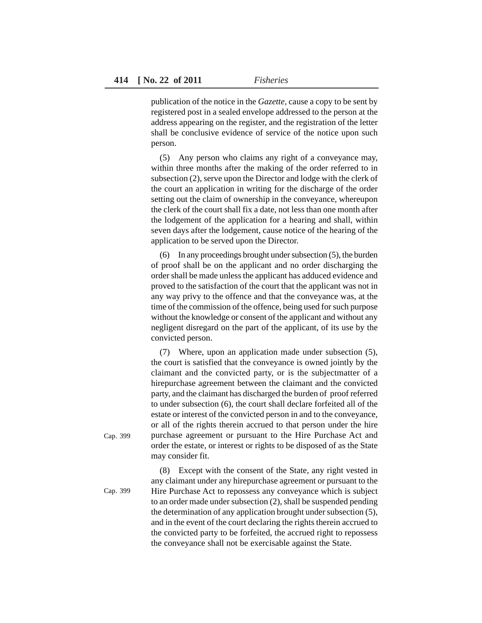publication of the notice in the *Gazette,* cause a copy to be sent by registered post in a sealed envelope addressed to the person at the address appearing on the register, and the registration of the letter shall be conclusive evidence of service of the notice upon such person.

(5) Any person who claims any right of a conveyance may, within three months after the making of the order referred to in subsection (2), serve upon the Director and lodge with the clerk of the court an application in writing for the discharge of the order setting out the claim of ownership in the conveyance, whereupon the clerk of the court shall fix a date, not less than one month after the lodgement of the application for a hearing and shall, within seven days after the lodgement, cause notice of the hearing of the application to be served upon the Director.

(6) In any proceedings brought under subsection (5), the burden of proof shall be on the applicant and no order discharging the order shall be made unless the applicant has adduced evidence and proved to the satisfaction of the court that the applicant was not in any way privy to the offence and that the conveyance was, at the time of the commission of the offence, being used for such purpose without the knowledge or consent of the applicant and without any negligent disregard on the part of the applicant, of its use by the convicted person.

(7) Where, upon an application made under subsection (5), the court is satisfied that the conveyance is owned jointly by the claimant and the convicted party, or is the subjectmatter of a hirepurchase agreement between the claimant and the convicted party, and the claimant has discharged the burden of proof referred to under subsection (6), the court shall declare forfeited all of the estate or interest of the convicted person in and to the conveyance, or all of the rights therein accrued to that person under the hire purchase agreement or pursuant to the Hire Purchase Act and order the estate, or interest or rights to be disposed of as the State may consider fit.

(8) Except with the consent of the State, any right vested in any claimant under any hirepurchase agreement or pursuant to the Hire Purchase Act to repossess any conveyance which is subject to an order made under subsection (2), shall be suspended pending the determination of any application brought under subsection (5), and in the event of the court declaring the rights therein accrued to the convicted party to be forfeited, the accrued right to repossess the conveyance shall not be exercisable against the State.

Cap. 399

Cap. 399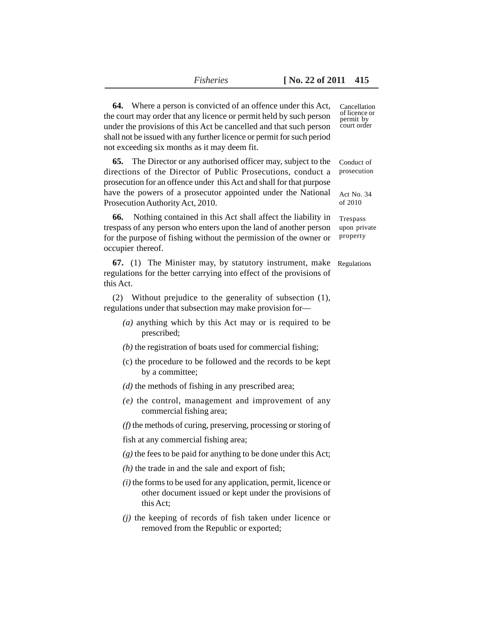| <b>64.</b> Where a person is convicted of an offence under this Act,<br>the court may order that any licence or permit held by such person<br>under the provisions of this Act be cancelled and that such person<br>shall not be issued with any further licence or permit for such period<br>not exceeding six months as it may deem fit. | Cancellation<br>of licence or<br>permit by<br>court order |
|--------------------------------------------------------------------------------------------------------------------------------------------------------------------------------------------------------------------------------------------------------------------------------------------------------------------------------------------|-----------------------------------------------------------|
| <b>65.</b> The Director or any authorised officer may, subject to the<br>directions of the Director of Public Prosecutions, conduct a<br>prosecution for an offence under this Act and shall for that purpose<br>have the powers of a prosecutor appointed under the National                                                              | Conduct of<br>prosecution<br>Act No. 34                   |
| Prosecution Authority Act, 2010.                                                                                                                                                                                                                                                                                                           | of 2010                                                   |
| 66.<br>Nothing contained in this Act shall affect the liability in<br>trespass of any person who enters upon the land of another person<br>for the purpose of fishing without the permission of the owner or<br>occupier thereof.                                                                                                          | Trespass<br>upon private<br>property                      |
| 67. (1) The Minister may, by statutory instrument, make<br>regulations for the better carrying into effect of the provisions of<br>this Act.                                                                                                                                                                                               | Regulations                                               |
| (2) Without prejudice to the generality of subsection (1),<br>regulations under that subsection may make provision for-                                                                                                                                                                                                                    |                                                           |
| $(a)$ anything which by this Act may or is required to be<br>prescribed;                                                                                                                                                                                                                                                                   |                                                           |
| $(b)$ the registration of boats used for commercial fishing;                                                                                                                                                                                                                                                                               |                                                           |
| (c) the procedure to be followed and the records to be kept<br>by a committee;                                                                                                                                                                                                                                                             |                                                           |
| $(d)$ the methods of fishing in any prescribed area;                                                                                                                                                                                                                                                                                       |                                                           |
| $(e)$ the control, management and improvement of any<br>commercial fishing area;                                                                                                                                                                                                                                                           |                                                           |
| $(f)$ the methods of curing, preserving, processing or storing of                                                                                                                                                                                                                                                                          |                                                           |
| fish at any commercial fishing area;                                                                                                                                                                                                                                                                                                       |                                                           |
| $(g)$ the fees to be paid for anything to be done under this Act;                                                                                                                                                                                                                                                                          |                                                           |
| $(h)$ the trade in and the sale and export of fish;                                                                                                                                                                                                                                                                                        |                                                           |
| $(i)$ the forms to be used for any application, permit, licence or<br>other document issued or kept under the provisions of<br>this Act:                                                                                                                                                                                                   |                                                           |
| $(j)$ the keeping of records of fish taken under licence or<br>removed from the Republic or exported;                                                                                                                                                                                                                                      |                                                           |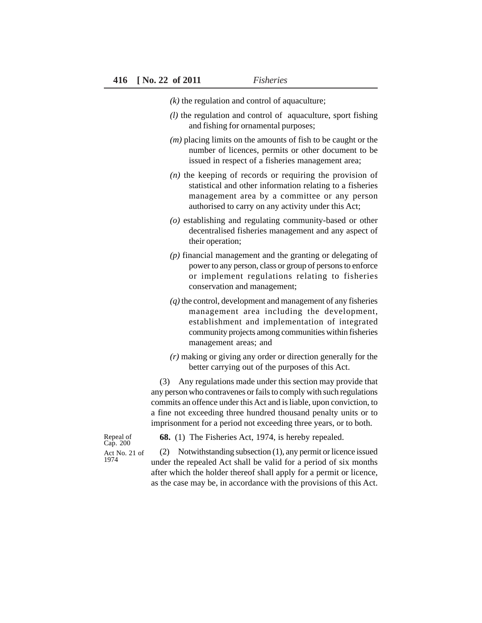*(k)* the regulation and control of aquaculture;

- *(l)* the regulation and control of aquaculture, sport fishing and fishing for ornamental purposes;
- *(m)* placing limits on the amounts of fish to be caught or the number of licences, permits or other document to be issued in respect of a fisheries management area;
- *(n)* the keeping of records or requiring the provision of statistical and other information relating to a fisheries management area by a committee or any person authorised to carry on any activity under this Act;
- *(o)* establishing and regulating community-based or other decentralised fisheries management and any aspect of their operation;
- *(p)* financial management and the granting or delegating of power to any person, class or group of persons to enforce or implement regulations relating to fisheries conservation and management;
- *(q)* the control, development and management of any fisheries management area including the development, establishment and implementation of integrated community projects among communities within fisheries management areas; and
- *(r)* making or giving any order or direction generally for the better carrying out of the purposes of this Act.

(3) Any regulations made under this section may provide that any person who contravenes or fails to comply with such regulations commits an offence under this Act and is liable, upon conviction, to a fine not exceeding three hundred thousand penalty units or to imprisonment for a period not exceeding three years, or to both.

Repeal of Cap. 200 Act No. 21 of 1974

**68.** (1) The Fisheries Act, 1974, is hereby repealed.

(2) Notwithstanding subsection (1), any permit or licence issued under the repealed Act shall be valid for a period of six months after which the holder thereof shall apply for a permit or licence, as the case may be, in accordance with the provisions of this Act.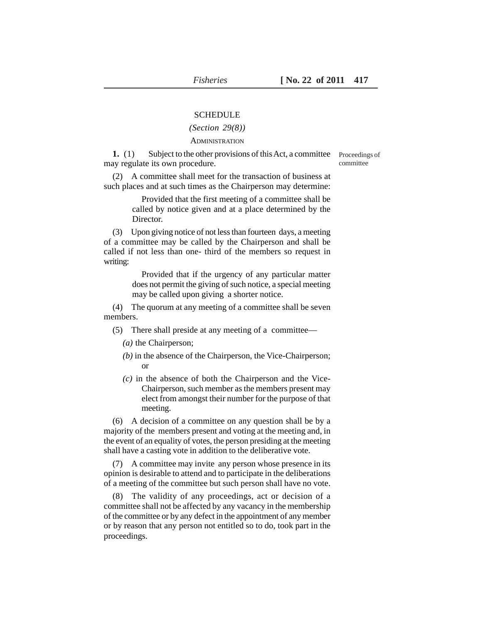#### **SCHEDULE**

#### *(Section 29(8))*

#### **ADMINISTRATION**

**1.** (1) Subject to the other provisions of this Act, a committee may regulate its own procedure.

Proceedings of committee

(2) A committee shall meet for the transaction of business at such places and at such times as the Chairperson may determine:

> Provided that the first meeting of a committee shall be called by notice given and at a place determined by the Director.

(3) Upon giving notice of not less than fourteen days, a meeting of a committee may be called by the Chairperson and shall be called if not less than one- third of the members so request in writing:

> Provided that if the urgency of any particular matter does not permit the giving of such notice, a special meeting may be called upon giving a shorter notice.

(4) The quorum at any meeting of a committee shall be seven members.

- (5) There shall preside at any meeting of a committee—
	- *(a)* the Chairperson;
	- *(b)* in the absence of the Chairperson, the Vice-Chairperson; or
	- *(c)* in the absence of both the Chairperson and the Vice-Chairperson, such member as the members present may elect from amongst their number for the purpose of that meeting.

(6) A decision of a committee on any question shall be by a majority of the members present and voting at the meeting and, in the event of an equality of votes, the person presiding at the meeting shall have a casting vote in addition to the deliberative vote.

(7) A committee may invite any person whose presence in its opinion is desirable to attend and to participate in the deliberations of a meeting of the committee but such person shall have no vote.

(8) The validity of any proceedings, act or decision of a committee shall not be affected by any vacancy in the membership of the committee or by any defect in the appointment of any member or by reason that any person not entitled so to do, took part in the proceedings.